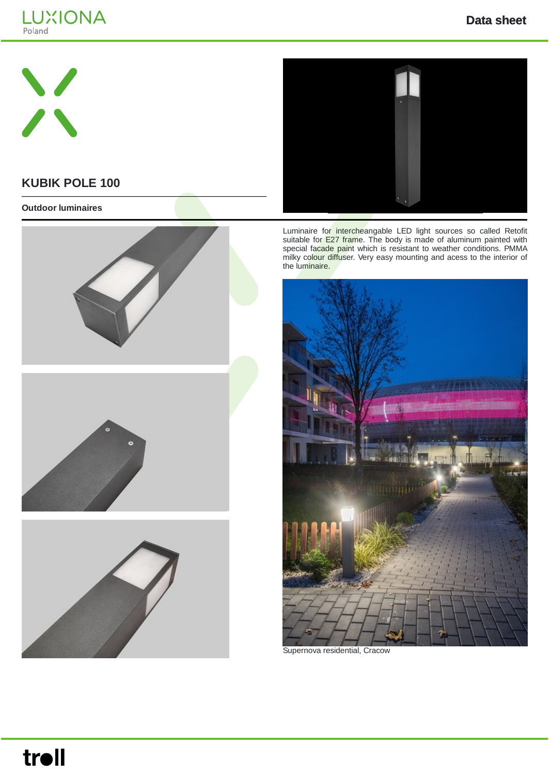





## **KUBIK POLE 100**

#### **Outdoor luminaires**







Luminaire for intercheangable LED light sources so called Retofit suitable for E27 frame. The body is made of aluminum painted with special facade paint which is resistant to weather conditions. PMMA milky colour diffuser. Very easy mounting and acess to the interior of the luminaire.



Supernova residential, Cracow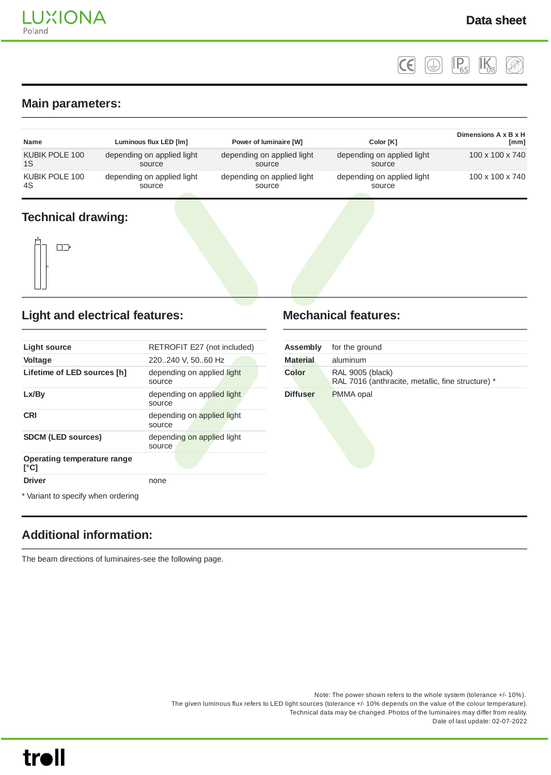$|c \in$  $\left(\bigoplus\right)$  $\left| \mathsf{P}_{65} \right|$  $\mathbb{I}\mathsf{K}$ 

#### **Main parameters:**

| <b>Name</b>    | Luminous flux LED [lm]     | Power of luminaire [W]     | Color <sub>[K]</sub>       | Dimensions A x B x H<br>[mm] |
|----------------|----------------------------|----------------------------|----------------------------|------------------------------|
| KUBIK POLE 100 | depending on applied light | depending on applied light | depending on applied light | $100 \times 100 \times 740$  |
| 1S             | source                     | source                     | source                     |                              |
| KUBIK POLE 100 | depending on applied light | depending on applied light | depending on applied light | $100 \times 100 \times 740$  |
| 4S             | source                     | source                     | source                     |                              |

#### **Technical drawing:**



#### **Light and electrical features:**

| Light source                        | RETROFIT E27 (not included)          |
|-------------------------------------|--------------------------------------|
| <b>Voltage</b>                      | 220240 V, 5060 Hz                    |
| Lifetime of LED sources [h]         | depending on applied light<br>source |
| Lx/By                               | depending on applied light<br>source |
| <b>CRI</b>                          | depending on applied light<br>source |
| <b>SDCM (LED sources)</b>           | depending on applied light<br>source |
| Operating temperature range<br>[°C] |                                      |
| <b>Driver</b>                       | none                                 |

\* Variant to specify when ordering

## **Additional information:**

The beam directions of luminaires-see the following page.

#### Note: The power shown refers to the whole system (tolerance +/- 10%). The given luminous flux refers to LED light sources (tolerance +/- 10% depends on the value of the colour temperature). Technical data may be changed. Photos of the luminaires may differ from reality. Date of last update: 02-07-2022

troll

#### **Mechanical features:**

| <b>Assembly</b> | for the ground                                                               |
|-----------------|------------------------------------------------------------------------------|
| <b>Material</b> | aluminum                                                                     |
| Color           | <b>RAL 9005 (black)</b><br>RAL 7016 (anthracite, metallic, fine structure) * |
| <b>Diffuser</b> | <b>PMMA</b> opal                                                             |